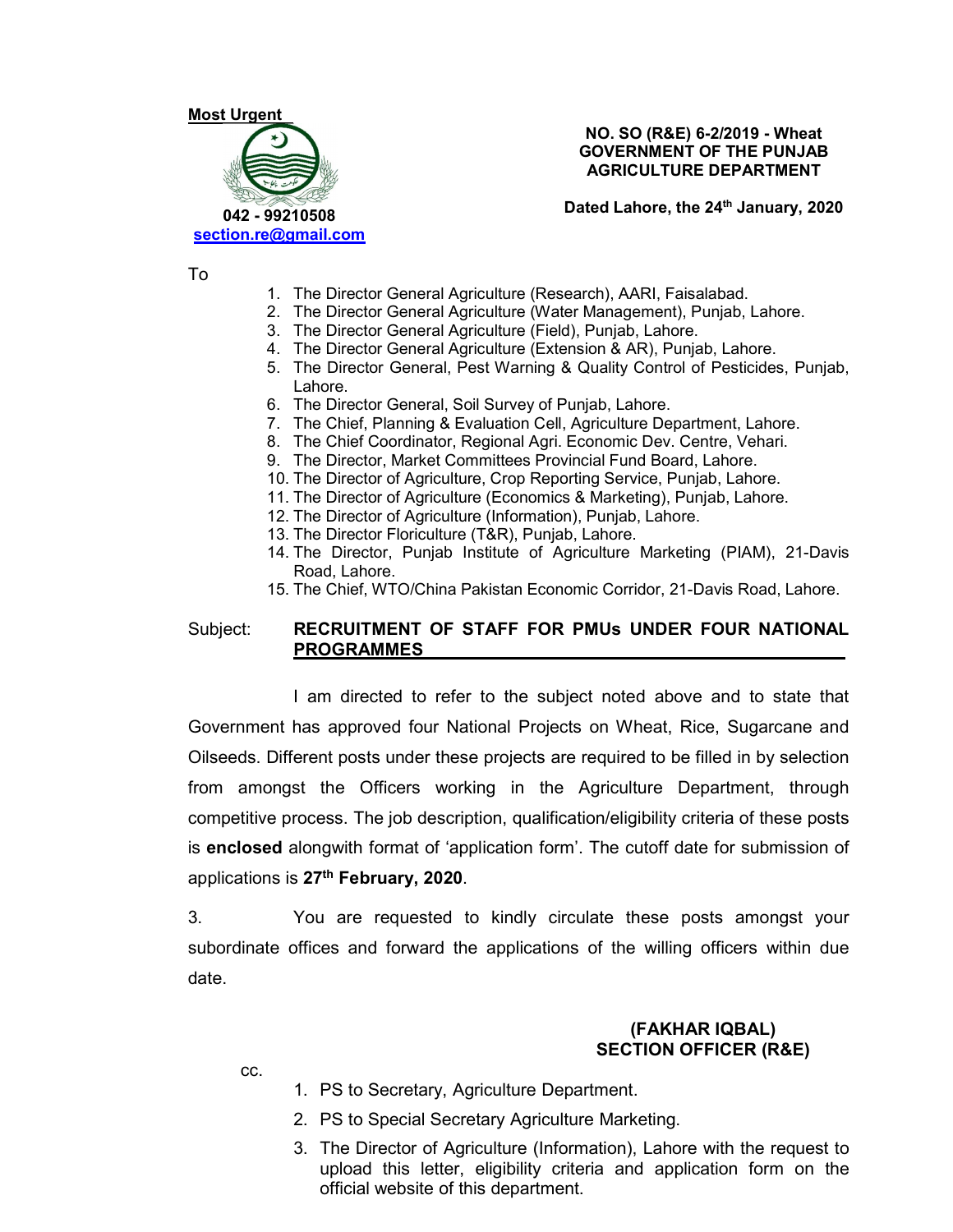# Most Urgent 042 - 99210508 section.re@gmail.com

NO. SO (R&E) 6-2/2019 - Wheat GOVERNMENT OF THE PUNJAB AGRICULTURE DEPARTMENT

Dated Lahore, the 24<sup>th</sup> January, 2020

To

- 1. The Director General Agriculture (Research), AARI, Faisalabad.
- 2. The Director General Agriculture (Water Management), Punjab, Lahore.
- 3. The Director General Agriculture (Field), Punjab, Lahore.
- 4. The Director General Agriculture (Extension & AR), Punjab, Lahore.
- 5. The Director General, Pest Warning & Quality Control of Pesticides, Punjab, Lahore.
- 6. The Director General, Soil Survey of Punjab, Lahore.
- 7. The Chief, Planning & Evaluation Cell, Agriculture Department, Lahore.
- 8. The Chief Coordinator, Regional Agri. Economic Dev. Centre, Vehari.
- 9. The Director, Market Committees Provincial Fund Board, Lahore.
- 10. The Director of Agriculture, Crop Reporting Service, Punjab, Lahore.
- 11. The Director of Agriculture (Economics & Marketing), Punjab, Lahore.
- 12. The Director of Agriculture (Information), Punjab, Lahore.
- 13. The Director Floriculture (T&R), Punjab, Lahore.
- 14. The Director, Punjab Institute of Agriculture Marketing (PIAM), 21-Davis Road, Lahore.
- 15. The Chief, WTO/China Pakistan Economic Corridor, 21-Davis Road, Lahore.

## Subject: RECRUITMENT OF STAFF FOR PMUs UNDER FOUR NATIONAL PROGRAMMES

 I am directed to refer to the subject noted above and to state that Government has approved four National Projects on Wheat, Rice, Sugarcane and Oilseeds. Different posts under these projects are required to be filled in by selection from amongst the Officers working in the Agriculture Department, through competitive process. The job description, qualification/eligibility criteria of these posts is enclosed alongwith format of 'application form'. The cutoff date for submission of applications is 27<sup>th</sup> February, 2020.<br>3. You are requested to kindly circulate these posts amongst your

subordinate offices and forward the applications of the willing officers within due date.

#### (FAKHAR IQBAL) SECTION OFFICER (R&E)

cc.

- 1. PS to Secretary, Agriculture Department.
- 2. PS to Special Secretary Agriculture Marketing.
- 3. The Director of Agriculture (Information), Lahore with the request to upload this letter, eligibility criteria and application form on the official website of this department.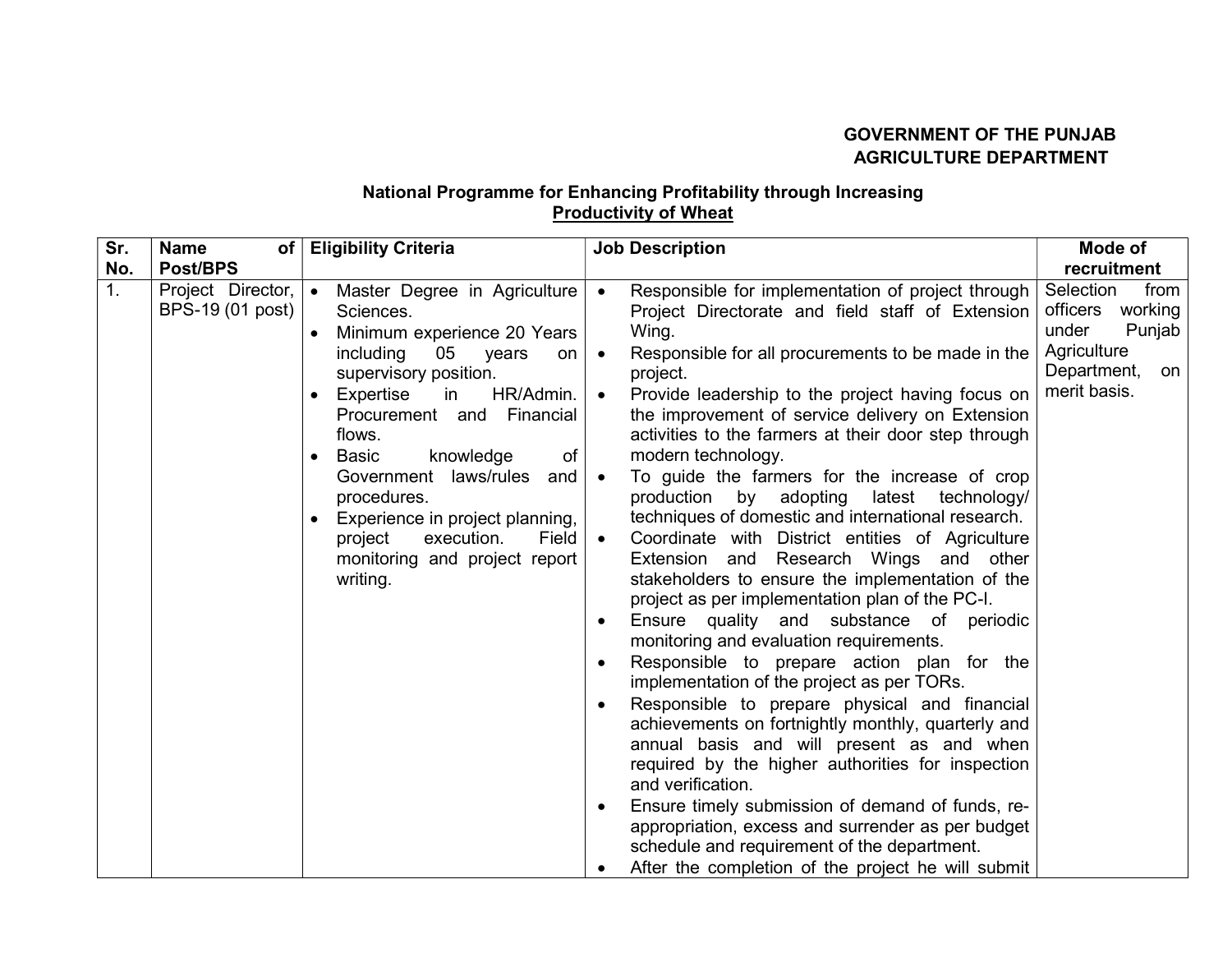# GOVERNMENT OF THE PUNJAB AGRICULTURE DEPARTMENT

# National Programme for Enhancing Profitability through Increasing Productivity of Wheat

| Sr.            | <b>Name</b><br>of                     | <b>Eligibility Criteria</b>                                                                                                                                                                                                                                                                                                                                                                                                                           | <b>Job Description</b>                                                                                                                                                                                                                                                                                                                                                                                                                                                                                                                                                                                                                                                                                                                                                                                                                                                                                                                                                                                                                                                                                                                                                                                                                                                                                                                                                                                                       | Mode of                                                                                                         |
|----------------|---------------------------------------|-------------------------------------------------------------------------------------------------------------------------------------------------------------------------------------------------------------------------------------------------------------------------------------------------------------------------------------------------------------------------------------------------------------------------------------------------------|------------------------------------------------------------------------------------------------------------------------------------------------------------------------------------------------------------------------------------------------------------------------------------------------------------------------------------------------------------------------------------------------------------------------------------------------------------------------------------------------------------------------------------------------------------------------------------------------------------------------------------------------------------------------------------------------------------------------------------------------------------------------------------------------------------------------------------------------------------------------------------------------------------------------------------------------------------------------------------------------------------------------------------------------------------------------------------------------------------------------------------------------------------------------------------------------------------------------------------------------------------------------------------------------------------------------------------------------------------------------------------------------------------------------------|-----------------------------------------------------------------------------------------------------------------|
| No.            | Post/BPS                              |                                                                                                                                                                                                                                                                                                                                                                                                                                                       |                                                                                                                                                                                                                                                                                                                                                                                                                                                                                                                                                                                                                                                                                                                                                                                                                                                                                                                                                                                                                                                                                                                                                                                                                                                                                                                                                                                                                              | recruitment                                                                                                     |
| 1 <sub>1</sub> | Project Director,<br>BPS-19 (01 post) | Master Degree in Agriculture<br>$\bullet$<br>Sciences.<br>Minimum experience 20 Years<br>including<br>05<br>years<br>on<br>supervisory position.<br>HR/Admin.<br>Expertise<br>in<br>$\bullet$<br>Procurement and Financial<br>flows.<br>knowledge<br><b>Basic</b><br>of<br>$\bullet$<br>Government laws/rules<br>and<br>procedures.<br>Experience in project planning,<br>project<br>execution.<br>Field<br>monitoring and project report<br>writing. | Responsible for implementation of project through<br>Project Directorate and field staff of Extension<br>Wing.<br>Responsible for all procurements to be made in the<br>$\bullet$<br>project.<br>Provide leadership to the project having focus on<br>the improvement of service delivery on Extension<br>activities to the farmers at their door step through<br>modern technology.<br>To guide the farmers for the increase of crop<br>$\bullet$<br>production<br>adopting<br>by<br>latest technology/<br>techniques of domestic and international research.<br>Coordinate with District entities of Agriculture<br>Extension and Research Wings and other<br>stakeholders to ensure the implementation of the<br>project as per implementation plan of the PC-I.<br>Ensure quality and substance of periodic<br>monitoring and evaluation requirements.<br>Responsible to prepare action plan for the<br>$\bullet$<br>implementation of the project as per TORs.<br>Responsible to prepare physical and financial<br>$\bullet$<br>achievements on fortnightly monthly, quarterly and<br>annual basis and will present as and when<br>required by the higher authorities for inspection<br>and verification.<br>Ensure timely submission of demand of funds, re-<br>appropriation, excess and surrender as per budget<br>schedule and requirement of the department.<br>After the completion of the project he will submit | Selection<br>from<br>officers<br>working<br>under<br>Punjab<br>Agriculture<br>Department,<br>on<br>merit basis. |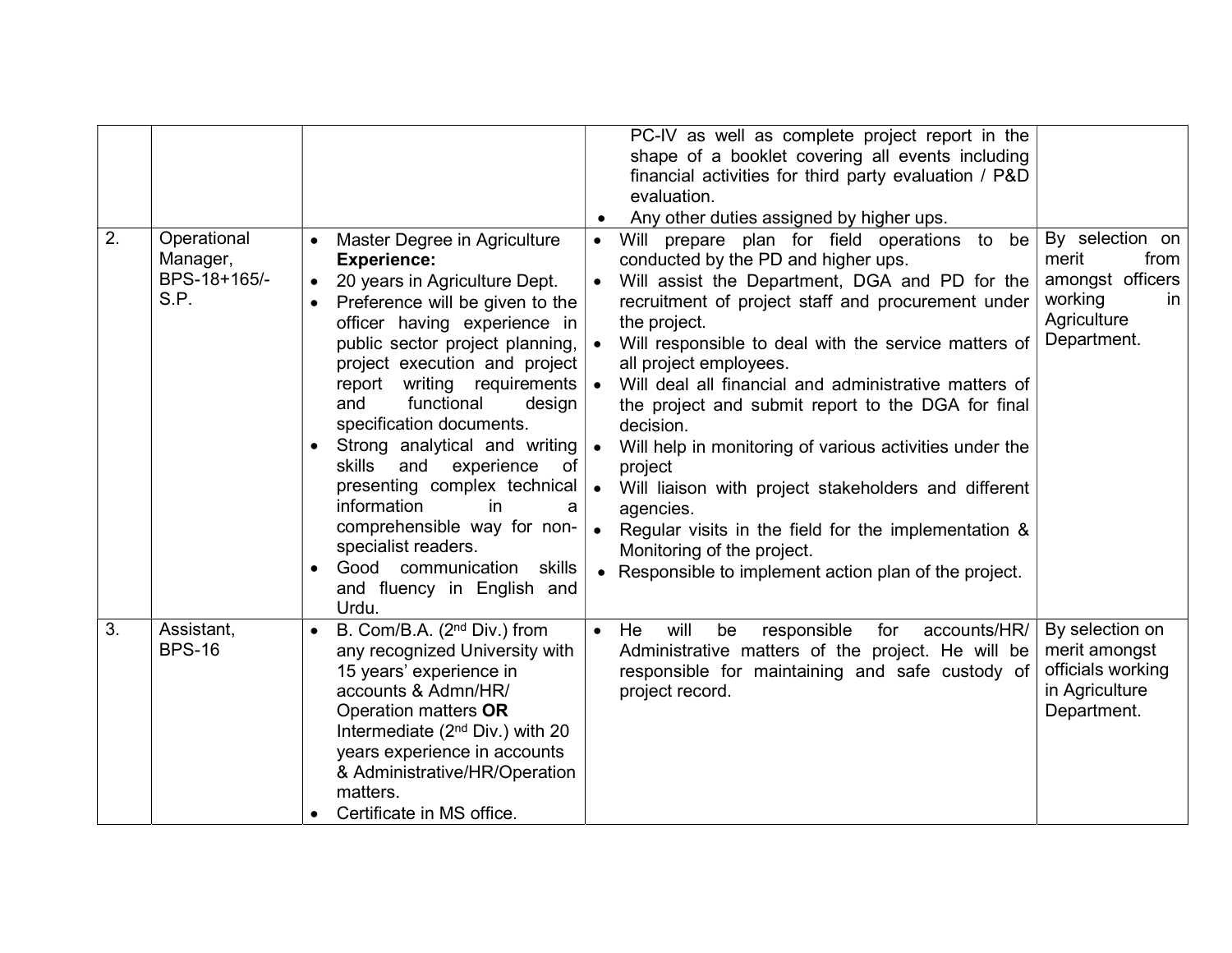| 2. | Operational<br>Manager,<br>BPS-18+165/-<br>S.P. | Master Degree in Agriculture<br><b>Experience:</b><br>20 years in Agriculture Dept.<br>$\bullet$<br>Preference will be given to the<br>officer having experience in<br>public sector project planning,<br>project execution and project<br>report writing requirements<br>and<br>functional<br>design<br>specification documents.<br>Strong analytical and writing<br><b>skills</b><br>and<br>experience<br>of<br>presenting complex technical<br>information<br>in<br>a<br>comprehensible way for non-<br>specialist readers.<br>Good communication<br>skills<br>and fluency in English and<br>Urdu. | PC-IV as well as complete project report in the<br>shape of a booklet covering all events including<br>financial activities for third party evaluation / P&D<br>evaluation.<br>Any other duties assigned by higher ups.<br>prepare plan for field operations to be<br>Will<br>$\bullet$<br>conducted by the PD and higher ups.<br>Will assist the Department, DGA and PD for the<br>$\bullet$<br>recruitment of project staff and procurement under<br>the project.<br>Will responsible to deal with the service matters of<br>$\bullet$<br>all project employees.<br>$\bullet$<br>Will deal all financial and administrative matters of<br>the project and submit report to the DGA for final<br>decision.<br>Will help in monitoring of various activities under the<br>$\bullet$<br>project<br>$\bullet$<br>Will liaison with project stakeholders and different<br>agencies.<br>Regular visits in the field for the implementation &<br>$\bullet$<br>Monitoring of the project.<br>Responsible to implement action plan of the project. | By selection on<br>merit<br>from<br>amongst officers<br>working<br><b>in</b><br>Agriculture<br>Department. |
|----|-------------------------------------------------|-------------------------------------------------------------------------------------------------------------------------------------------------------------------------------------------------------------------------------------------------------------------------------------------------------------------------------------------------------------------------------------------------------------------------------------------------------------------------------------------------------------------------------------------------------------------------------------------------------|---------------------------------------------------------------------------------------------------------------------------------------------------------------------------------------------------------------------------------------------------------------------------------------------------------------------------------------------------------------------------------------------------------------------------------------------------------------------------------------------------------------------------------------------------------------------------------------------------------------------------------------------------------------------------------------------------------------------------------------------------------------------------------------------------------------------------------------------------------------------------------------------------------------------------------------------------------------------------------------------------------------------------------------------|------------------------------------------------------------------------------------------------------------|
| 3. | Assistant,<br><b>BPS-16</b>                     | B. Com/B.A. (2 <sup>nd</sup> Div.) from<br>any recognized University with<br>15 years' experience in<br>accounts & Admn/HR/<br>Operation matters OR<br>Intermediate ( $2nd Div.$ ) with 20<br>years experience in accounts<br>& Administrative/HR/Operation<br>matters.<br>Certificate in MS office.                                                                                                                                                                                                                                                                                                  | will<br>responsible<br>for<br>accounts/HR/<br>He<br>be<br>$\bullet$<br>Administrative matters of the project. He will be<br>responsible for maintaining and safe custody of<br>project record.                                                                                                                                                                                                                                                                                                                                                                                                                                                                                                                                                                                                                                                                                                                                                                                                                                              | By selection on<br>merit amongst<br>officials working<br>in Agriculture<br>Department.                     |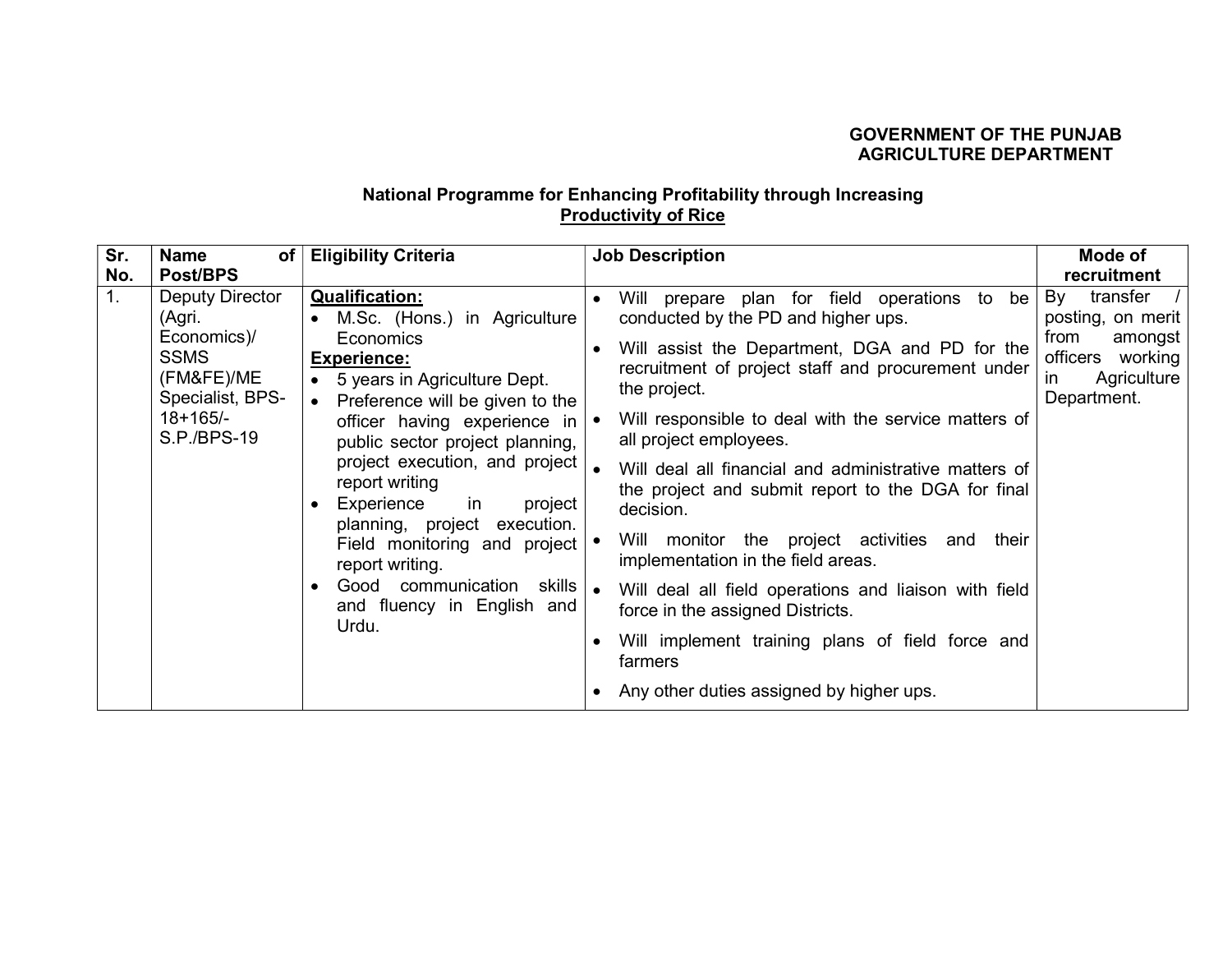## GOVERNMENT OF THE PUNJAB AGRICULTURE DEPARTMENT

## National Programme for Enhancing Profitability through Increasing **Productivity of Rice**

| Sr.            | <b>Name</b><br>of                                                                                                             | <b>Eligibility Criteria</b>                                                                                                                                                                                                                                                                                                                                                                                                                                                                 | <b>Job Description</b>                                                                                                                                                                                                                                                                                                                                                                                                                                                                                                                                                                                                                                                                                                                                                             | Mode of                                                                                                           |
|----------------|-------------------------------------------------------------------------------------------------------------------------------|---------------------------------------------------------------------------------------------------------------------------------------------------------------------------------------------------------------------------------------------------------------------------------------------------------------------------------------------------------------------------------------------------------------------------------------------------------------------------------------------|------------------------------------------------------------------------------------------------------------------------------------------------------------------------------------------------------------------------------------------------------------------------------------------------------------------------------------------------------------------------------------------------------------------------------------------------------------------------------------------------------------------------------------------------------------------------------------------------------------------------------------------------------------------------------------------------------------------------------------------------------------------------------------|-------------------------------------------------------------------------------------------------------------------|
| No.            | Post/BPS                                                                                                                      |                                                                                                                                                                                                                                                                                                                                                                                                                                                                                             |                                                                                                                                                                                                                                                                                                                                                                                                                                                                                                                                                                                                                                                                                                                                                                                    | recruitment                                                                                                       |
| 1 <sub>1</sub> | <b>Deputy Director</b><br>(Agri.<br>Economics)/<br><b>SSMS</b><br>(FM&FE)/ME<br>Specialist, BPS-<br>$18+165/-$<br>S.P./BPS-19 | <b>Qualification:</b><br>M.Sc. (Hons.) in Agriculture<br>Economics<br><b>Experience:</b><br>• 5 years in Agriculture Dept.<br>Preference will be given to the<br>$\bullet$<br>officer having experience in<br>public sector project planning,<br>project execution, and project<br>report writing<br>Experience<br>project<br>in.<br>planning, project execution.<br>Field monitoring and project<br>report writing.<br>skills<br>Good communication<br>and fluency in English and<br>Urdu. | Will prepare plan for field operations to<br>be<br>$\bullet$<br>conducted by the PD and higher ups.<br>Will assist the Department, DGA and PD for the<br>recruitment of project staff and procurement under<br>the project.<br>Will responsible to deal with the service matters of<br>$\bullet$<br>all project employees.<br>$\bullet$<br>Will deal all financial and administrative matters of<br>the project and submit report to the DGA for final<br>decision.<br>Will monitor the project activities and<br>their<br>implementation in the field areas.<br>Will deal all field operations and liaison with field<br>$\bullet$<br>force in the assigned Districts.<br>Will implement training plans of field force and<br>farmers<br>Any other duties assigned by higher ups. | By<br>transfer<br>posting, on merit<br>from<br>amongst<br>officers<br>working<br>Agriculture<br>in<br>Department. |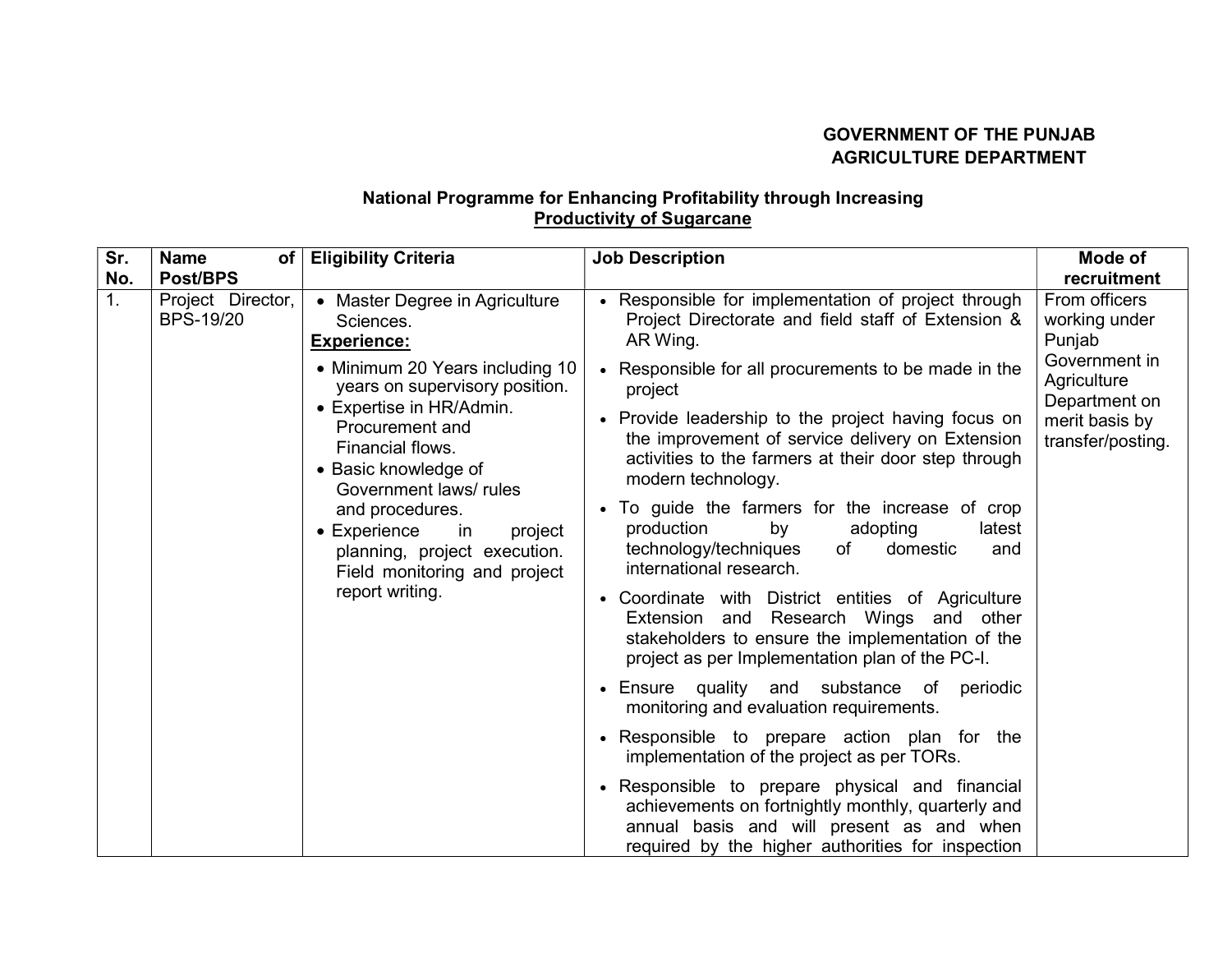## GOVERNMENT OF THE PUNJAB AGRICULTURE DEPARTMENT

## National Programme for Enhancing Profitability through Increasing **Productivity of Sugarcane**

| Sr. | <b>Name</b><br>of                     | <b>Eligibility Criteria</b>                                                                                                                                                                                                                                     | <b>Job Description</b>                                                                                                                                                                                | Mode of                                                                                                                          |
|-----|---------------------------------------|-----------------------------------------------------------------------------------------------------------------------------------------------------------------------------------------------------------------------------------------------------------------|-------------------------------------------------------------------------------------------------------------------------------------------------------------------------------------------------------|----------------------------------------------------------------------------------------------------------------------------------|
| No. | <b>Post/BPS</b>                       |                                                                                                                                                                                                                                                                 |                                                                                                                                                                                                       | recruitment                                                                                                                      |
| 1.  | Project Director,<br><b>BPS-19/20</b> | • Master Degree in Agriculture<br>Sciences.<br><b>Experience:</b>                                                                                                                                                                                               | Responsible for implementation of project through<br>Project Directorate and field staff of Extension &<br>AR Wing.                                                                                   | From officers<br>working under<br>Punjab<br>Government in<br>Agriculture<br>Department on<br>merit basis by<br>transfer/posting. |
|     |                                       | • Minimum 20 Years including 10<br>years on supervisory position.                                                                                                                                                                                               | Responsible for all procurements to be made in the<br>project                                                                                                                                         |                                                                                                                                  |
|     |                                       | • Expertise in HR/Admin.<br>Procurement and<br>Financial flows.<br>• Basic knowledge of<br>Government laws/rules<br>and procedures.<br>$\bullet$ Experience<br>in<br>project<br>planning, project execution.<br>Field monitoring and project<br>report writing. | Provide leadership to the project having focus on<br>the improvement of service delivery on Extension<br>activities to the farmers at their door step through<br>modern technology.                   |                                                                                                                                  |
|     |                                       |                                                                                                                                                                                                                                                                 | • To guide the farmers for the increase of crop<br>production<br>by<br>adopting<br>latest<br>technology/techniques<br>domestic<br>of<br>and<br>international research.                                |                                                                                                                                  |
|     |                                       |                                                                                                                                                                                                                                                                 | Coordinate with District entities of Agriculture<br>Extension and Research Wings and other<br>stakeholders to ensure the implementation of the<br>project as per Implementation plan of the PC-I.     |                                                                                                                                  |
|     |                                       |                                                                                                                                                                                                                                                                 | Ensure quality and substance of periodic<br>monitoring and evaluation requirements.                                                                                                                   |                                                                                                                                  |
|     |                                       |                                                                                                                                                                                                                                                                 | Responsible to prepare action plan for the<br>implementation of the project as per TORs.                                                                                                              |                                                                                                                                  |
|     |                                       |                                                                                                                                                                                                                                                                 | Responsible to prepare physical and financial<br>achievements on fortnightly monthly, quarterly and<br>annual basis and will present as and when<br>required by the higher authorities for inspection |                                                                                                                                  |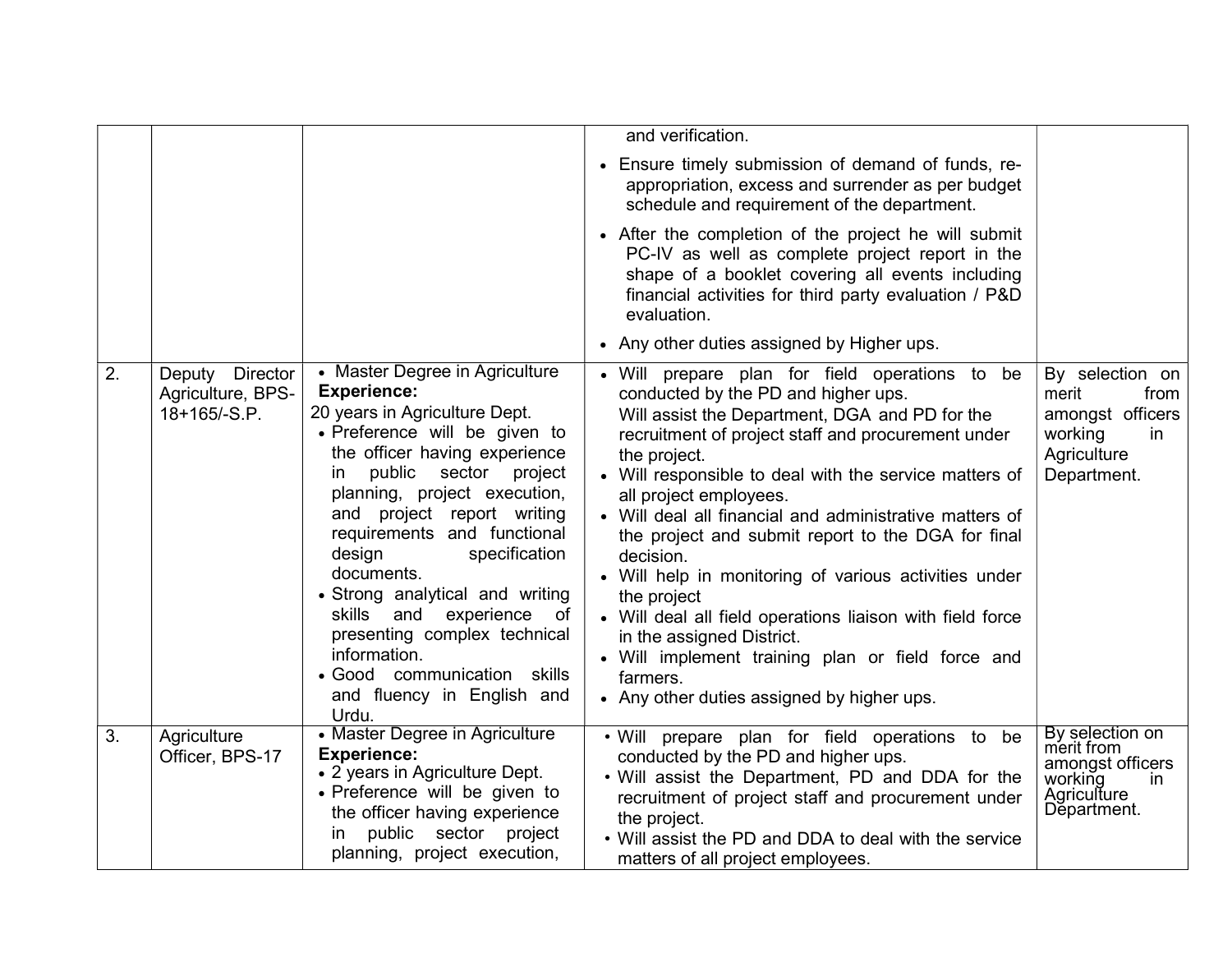|    |                                                                |                                                                                                                                                                                                                                                                                                                                                                                                                                                                                                                               | and verification.                                                                                                                                                                                                                                                                                                                                                                                                                                                                                                                                                                                                                                                                                                |                                                                                                     |
|----|----------------------------------------------------------------|-------------------------------------------------------------------------------------------------------------------------------------------------------------------------------------------------------------------------------------------------------------------------------------------------------------------------------------------------------------------------------------------------------------------------------------------------------------------------------------------------------------------------------|------------------------------------------------------------------------------------------------------------------------------------------------------------------------------------------------------------------------------------------------------------------------------------------------------------------------------------------------------------------------------------------------------------------------------------------------------------------------------------------------------------------------------------------------------------------------------------------------------------------------------------------------------------------------------------------------------------------|-----------------------------------------------------------------------------------------------------|
|    |                                                                |                                                                                                                                                                                                                                                                                                                                                                                                                                                                                                                               | • Ensure timely submission of demand of funds, re-<br>appropriation, excess and surrender as per budget<br>schedule and requirement of the department.                                                                                                                                                                                                                                                                                                                                                                                                                                                                                                                                                           |                                                                                                     |
|    |                                                                |                                                                                                                                                                                                                                                                                                                                                                                                                                                                                                                               | • After the completion of the project he will submit<br>PC-IV as well as complete project report in the<br>shape of a booklet covering all events including<br>financial activities for third party evaluation / P&D<br>evaluation.                                                                                                                                                                                                                                                                                                                                                                                                                                                                              |                                                                                                     |
|    |                                                                |                                                                                                                                                                                                                                                                                                                                                                                                                                                                                                                               | • Any other duties assigned by Higher ups.                                                                                                                                                                                                                                                                                                                                                                                                                                                                                                                                                                                                                                                                       |                                                                                                     |
| 2. | <b>Director</b><br>Deputy<br>Agriculture, BPS-<br>18+165/-S.P. | • Master Degree in Agriculture<br><b>Experience:</b><br>20 years in Agriculture Dept.<br>• Preference will be given to<br>the officer having experience<br>public sector<br>project<br>ın<br>planning, project execution,<br>and project report writing<br>requirements and functional<br>design<br>specification<br>documents.<br>• Strong analytical and writing<br>and<br>experience<br>skills<br>of<br>presenting complex technical<br>information.<br>• Good communication skills<br>and fluency in English and<br>Urdu. | • Will prepare plan for field operations to be<br>conducted by the PD and higher ups.<br>Will assist the Department, DGA and PD for the<br>recruitment of project staff and procurement under<br>the project.<br>• Will responsible to deal with the service matters of<br>all project employees.<br>• Will deal all financial and administrative matters of<br>the project and submit report to the DGA for final<br>decision.<br>• Will help in monitoring of various activities under<br>the project<br>• Will deal all field operations liaison with field force<br>in the assigned District.<br>• Will implement training plan or field force and<br>farmers.<br>• Any other duties assigned by higher ups. | By selection on<br>merit<br>from<br>amongst officers<br>working<br>in<br>Agriculture<br>Department. |
| 3. | Agriculture<br>Officer, BPS-17                                 | • Master Degree in Agriculture<br><b>Experience:</b><br>• 2 years in Agriculture Dept.<br>• Preference will be given to<br>the officer having experience<br>public sector project<br>ın<br>planning, project execution,                                                                                                                                                                                                                                                                                                       | . Will prepare plan for field operations to be<br>conducted by the PD and higher ups.<br>. Will assist the Department, PD and DDA for the<br>recruitment of project staff and procurement under<br>the project.<br>• Will assist the PD and DDA to deal with the service<br>matters of all project employees.                                                                                                                                                                                                                                                                                                                                                                                                    | By selection on<br>merit from<br>amongst officers<br>working<br>in<br>Agriculture<br>Department.    |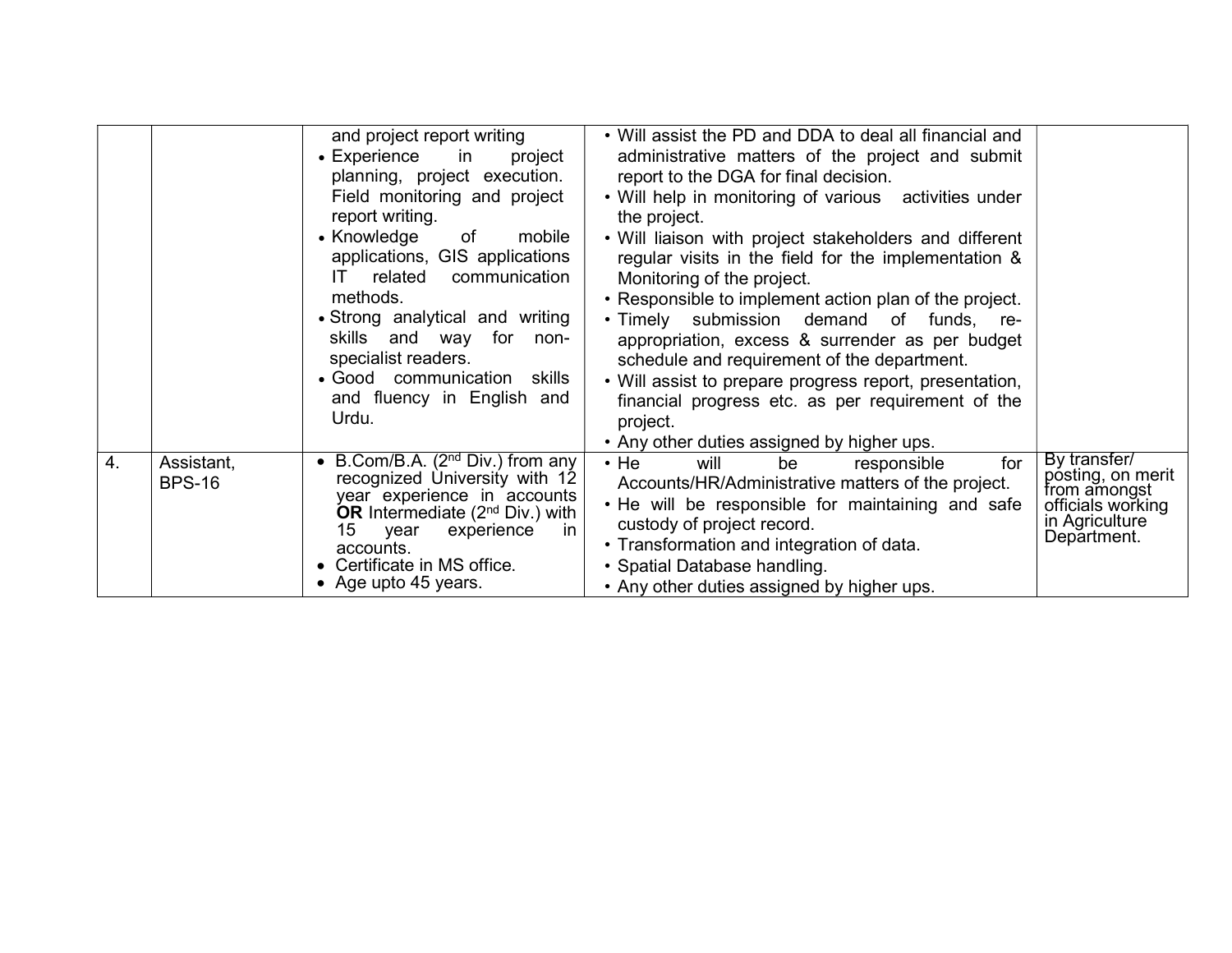|    |                             | and project report writing<br>$\bullet$ Experience<br>in<br>project<br>planning, project execution.<br>Field monitoring and project<br>report writing.<br>• Knowledge<br>of<br>mobile<br>applications, GIS applications<br>related<br>communication<br>IT.<br>methods.<br>• Strong analytical and writing<br>skills and way<br>for non-<br>specialist readers.<br>• Good communication skills<br>and fluency in English and<br>Urdu. | • Will assist the PD and DDA to deal all financial and<br>administrative matters of the project and submit<br>report to the DGA for final decision.<br>• Will help in monitoring of various activities under<br>the project.<br>• Will liaison with project stakeholders and different<br>regular visits in the field for the implementation &<br>Monitoring of the project.<br>• Responsible to implement action plan of the project.<br>• Timely submission demand of funds, re-<br>appropriation, excess & surrender as per budget<br>schedule and requirement of the department.<br>• Will assist to prepare progress report, presentation,<br>financial progress etc. as per requirement of the<br>project.<br>• Any other duties assigned by higher ups. |                                                                                                         |
|----|-----------------------------|--------------------------------------------------------------------------------------------------------------------------------------------------------------------------------------------------------------------------------------------------------------------------------------------------------------------------------------------------------------------------------------------------------------------------------------|----------------------------------------------------------------------------------------------------------------------------------------------------------------------------------------------------------------------------------------------------------------------------------------------------------------------------------------------------------------------------------------------------------------------------------------------------------------------------------------------------------------------------------------------------------------------------------------------------------------------------------------------------------------------------------------------------------------------------------------------------------------|---------------------------------------------------------------------------------------------------------|
| 4. | Assistant,<br><b>BPS-16</b> | • B.Com/B.A. $(2nd Div.)$ from any<br>recognized University with 12<br>year experience in accounts<br>OR Intermediate $(2nd Div.)$ with<br>15<br>year<br>experience<br>-in<br>accounts.<br>Certificate in MS office.<br>• Age upto 45 years.                                                                                                                                                                                         | $\cdot$ He<br>be<br>for<br>will<br>responsible<br>Accounts/HR/Administrative matters of the project.<br>. He will be responsible for maintaining and safe<br>custody of project record.<br>• Transformation and integration of data.<br>• Spatial Database handling.<br>• Any other duties assigned by higher ups.                                                                                                                                                                                                                                                                                                                                                                                                                                             | By transfer/<br>posting, on merit<br>from amongst<br>officials working<br>in Agriculture<br>Department. |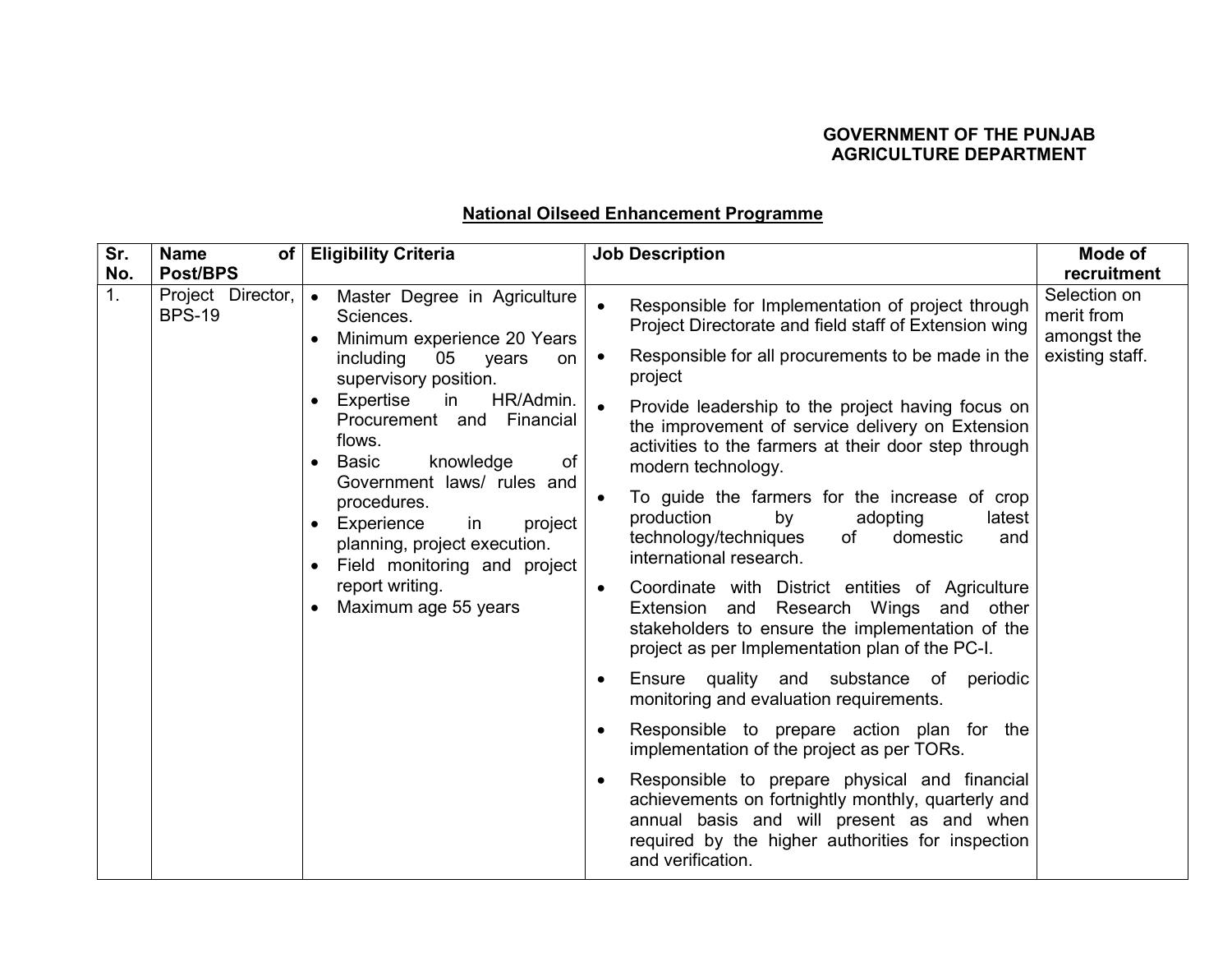## GOVERNMENT OF THE PUNJAB AGRICULTURE DEPARTMENT

# National Oilseed Enhancement Programme

| Sr. | <b>Name</b><br>of                  | <b>Eligibility Criteria</b>                                                                                                                                                                                                                                                                                                                                                                                                                       | <b>Job Description</b>                                                                                                                                                                                                                                                                                                                                                                                                                                                                                                                                                                                                                                                                                                                                                                                                                                                                                                                                                                                                                                                                                                                                                                                                                                                   | Mode of                                                      |
|-----|------------------------------------|---------------------------------------------------------------------------------------------------------------------------------------------------------------------------------------------------------------------------------------------------------------------------------------------------------------------------------------------------------------------------------------------------------------------------------------------------|--------------------------------------------------------------------------------------------------------------------------------------------------------------------------------------------------------------------------------------------------------------------------------------------------------------------------------------------------------------------------------------------------------------------------------------------------------------------------------------------------------------------------------------------------------------------------------------------------------------------------------------------------------------------------------------------------------------------------------------------------------------------------------------------------------------------------------------------------------------------------------------------------------------------------------------------------------------------------------------------------------------------------------------------------------------------------------------------------------------------------------------------------------------------------------------------------------------------------------------------------------------------------|--------------------------------------------------------------|
| No. | Post/BPS                           |                                                                                                                                                                                                                                                                                                                                                                                                                                                   |                                                                                                                                                                                                                                                                                                                                                                                                                                                                                                                                                                                                                                                                                                                                                                                                                                                                                                                                                                                                                                                                                                                                                                                                                                                                          | recruitment                                                  |
| 1.  | Project Director,<br><b>BPS-19</b> | Master Degree in Agriculture<br>Sciences.<br>Minimum experience 20 Years<br>including<br>05<br>years<br>on<br>supervisory position.<br>Expertise<br>HR/Admin.<br>in<br>$\bullet$<br>Procurement and Financial<br>flows.<br><b>Basic</b><br>knowledge<br>of<br>Government laws/ rules and<br>procedures.<br>Experience<br>in<br>project<br>planning, project execution.<br>Field monitoring and project<br>report writing.<br>Maximum age 55 years | Responsible for Implementation of project through<br>$\bullet$<br>Project Directorate and field staff of Extension wing<br>Responsible for all procurements to be made in the<br>$\bullet$<br>project<br>Provide leadership to the project having focus on<br>$\bullet$<br>the improvement of service delivery on Extension<br>activities to the farmers at their door step through<br>modern technology.<br>To guide the farmers for the increase of crop<br>$\bullet$<br>production<br>by<br>adopting<br>latest<br>technology/techniques<br>domestic<br>of<br>and<br>international research.<br>Coordinate with District entities of Agriculture<br>$\bullet$<br>Extension and Research Wings and other<br>stakeholders to ensure the implementation of the<br>project as per Implementation plan of the PC-I.<br>Ensure quality and substance of periodic<br>$\bullet$<br>monitoring and evaluation requirements.<br>Responsible to prepare action plan for the<br>$\bullet$<br>implementation of the project as per TORs.<br>Responsible to prepare physical and financial<br>$\bullet$<br>achievements on fortnightly monthly, quarterly and<br>annual basis and will present as and when<br>required by the higher authorities for inspection<br>and verification. | Selection on<br>merit from<br>amongst the<br>existing staff. |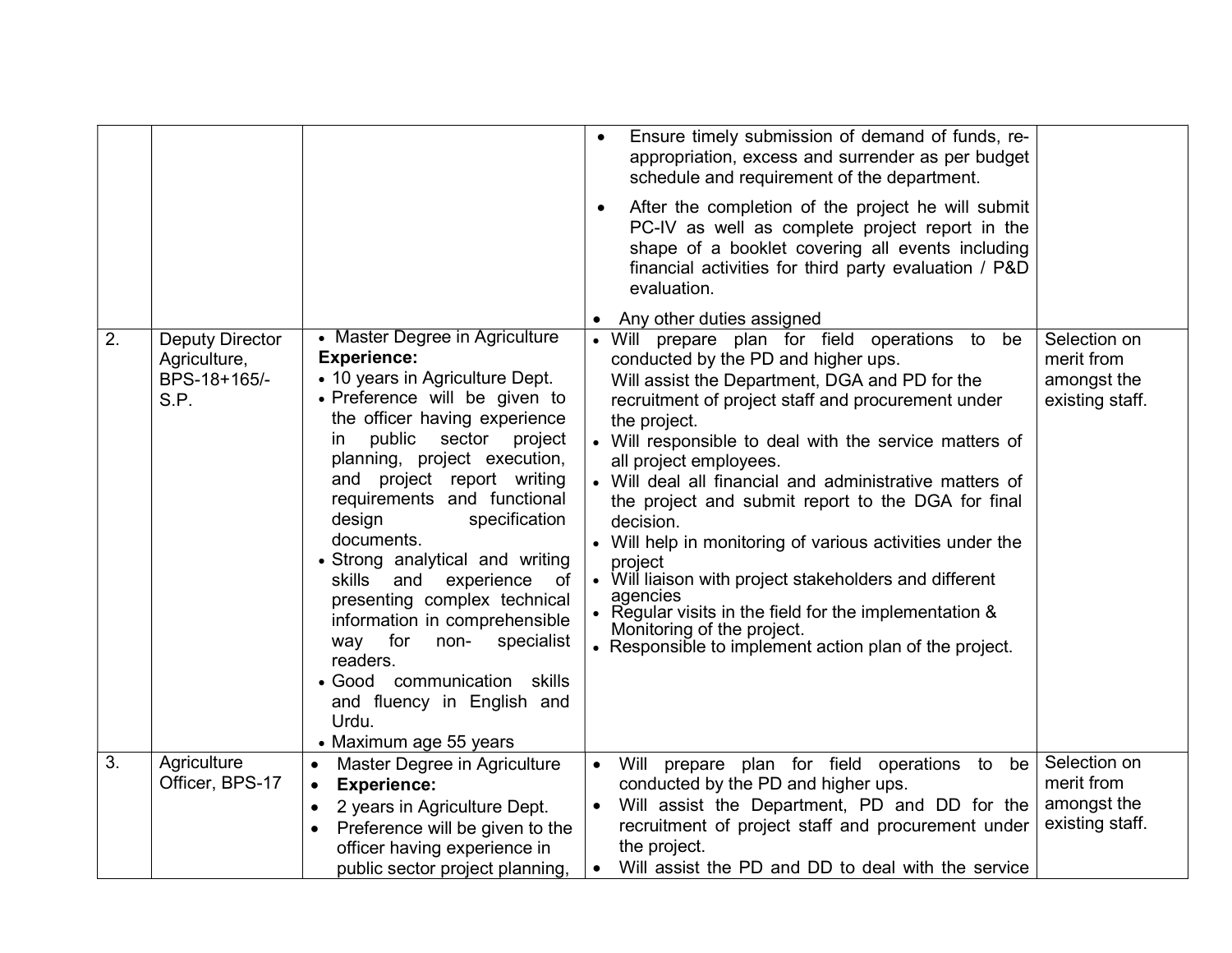| 2. | <b>Deputy Director</b><br>Agriculture,<br>BPS-18+165/-<br>S.P. | • Master Degree in Agriculture<br><b>Experience:</b><br>• 10 years in Agriculture Dept.<br>· Preference will be given to<br>the officer having experience<br>public<br>sector<br>project<br>in<br>planning, project execution,<br>and project report writing<br>requirements and functional<br>design<br>specification<br>documents.<br>• Strong analytical and writing<br>experience<br>skills<br>and<br>of<br>presenting complex technical<br>information in comprehensible<br>for<br>non-<br>specialist<br>way<br>readers.<br>• Good communication skills<br>and fluency in English and<br>Urdu.<br>• Maximum age 55 years | $\bullet$<br>$\bullet$              | Ensure timely submission of demand of funds, re-<br>appropriation, excess and surrender as per budget<br>schedule and requirement of the department.<br>After the completion of the project he will submit<br>PC-IV as well as complete project report in the<br>shape of a booklet covering all events including<br>financial activities for third party evaluation / P&D<br>evaluation.<br>Any other duties assigned<br>• Will prepare plan for field operations to<br>be<br>conducted by the PD and higher ups.<br>Will assist the Department, DGA and PD for the<br>recruitment of project staff and procurement under<br>the project.<br>• Will responsible to deal with the service matters of<br>all project employees.<br>• Will deal all financial and administrative matters of<br>the project and submit report to the DGA for final<br>decision.<br>• Will help in monitoring of various activities under the<br>project<br>• Will liaison with project stakeholders and different<br>agencies<br>• Regular visits in the field for the implementation &<br>Monitoring of the project.<br>• Responsible to implement action plan of the project. | Selection on<br>merit from<br>amongst the<br>existing staff. |
|----|----------------------------------------------------------------|-------------------------------------------------------------------------------------------------------------------------------------------------------------------------------------------------------------------------------------------------------------------------------------------------------------------------------------------------------------------------------------------------------------------------------------------------------------------------------------------------------------------------------------------------------------------------------------------------------------------------------|-------------------------------------|--------------------------------------------------------------------------------------------------------------------------------------------------------------------------------------------------------------------------------------------------------------------------------------------------------------------------------------------------------------------------------------------------------------------------------------------------------------------------------------------------------------------------------------------------------------------------------------------------------------------------------------------------------------------------------------------------------------------------------------------------------------------------------------------------------------------------------------------------------------------------------------------------------------------------------------------------------------------------------------------------------------------------------------------------------------------------------------------------------------------------------------------------------------|--------------------------------------------------------------|
| 3. | Agriculture<br>Officer, BPS-17                                 | Master Degree in Agriculture<br><b>Experience:</b><br>$\bullet$<br>2 years in Agriculture Dept.<br>$\bullet$<br>Preference will be given to the<br>$\bullet$<br>officer having experience in<br>public sector project planning,                                                                                                                                                                                                                                                                                                                                                                                               | $\bullet$<br>$\bullet$<br>$\bullet$ | Will prepare plan for field operations to<br>be<br>conducted by the PD and higher ups.<br>Will assist the Department, PD and DD for the<br>recruitment of project staff and procurement under<br>the project.<br>Will assist the PD and DD to deal with the service                                                                                                                                                                                                                                                                                                                                                                                                                                                                                                                                                                                                                                                                                                                                                                                                                                                                                          | Selection on<br>merit from<br>amongst the<br>existing staff. |